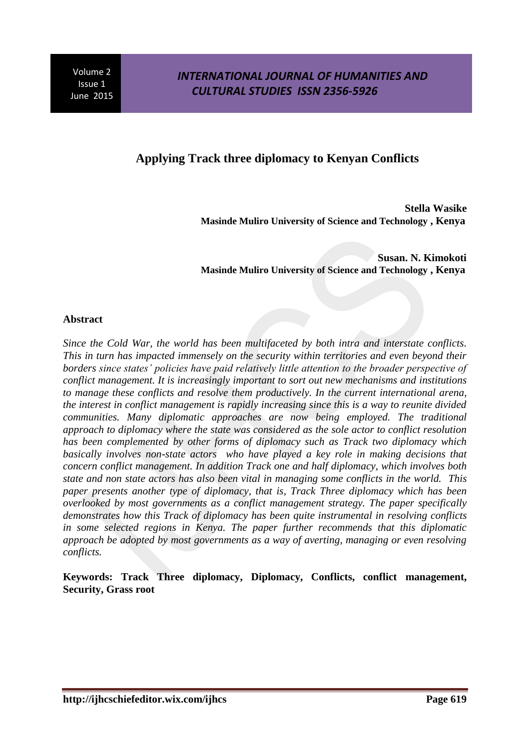# **Applying Track three diplomacy to Kenyan Conflicts**

**Stella Wasike Masinde Muliro University of Science and Technology , Kenya** 

**Susan. N. Kimokoti Masinde Muliro University of Science and Technology , Kenya** 

### **Abstract**

*Since the Cold War, the world has been multifaceted by both intra and interstate conflicts. This in turn has impacted immensely on the security within territories and even beyond their borders since states' policies have paid relatively little attention to the broader perspective of conflict management. It is increasingly important to sort out new mechanisms and institutions to manage these conflicts and resolve them productively. In the current international arena, the interest in conflict management is rapidly increasing since this is a way to reunite divided communities. Many diplomatic approaches are now being employed. The traditional approach to diplomacy where the state was considered as the sole actor to conflict resolution has been complemented by other forms of diplomacy such as Track two diplomacy which basically involves non-state actors who have played a key role in making decisions that concern conflict management. In addition Track one and half diplomacy, which involves both state and non state actors has also been vital in managing some conflicts in the world. This paper presents another type of diplomacy, that is, Track Three diplomacy which has been overlooked by most governments as a conflict management strategy. The paper specifically demonstrates how this Track of diplomacy has been quite instrumental in resolving conflicts in some selected regions in Kenya. The paper further recommends that this diplomatic approach be adopted by most governments as a way of averting, managing or even resolving conflicts.* 

**Keywords: Track Three diplomacy, Diplomacy, Conflicts, conflict management, Security, Grass root**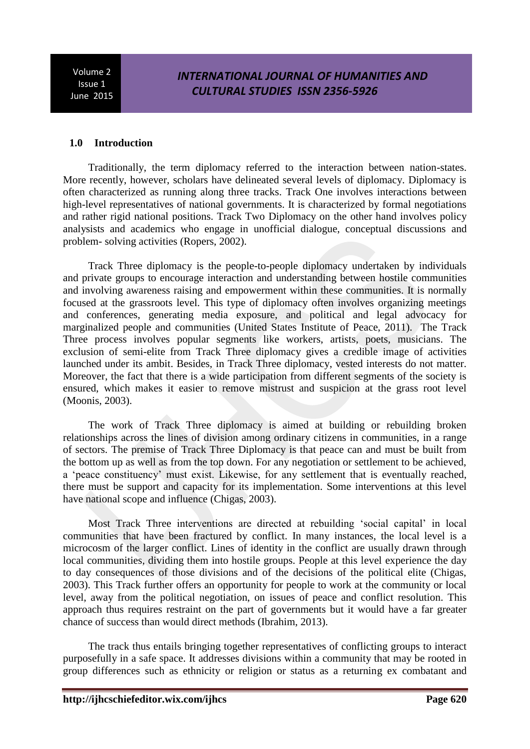## *INTERNATIONAL JOURNAL OF HUMANITIES AND CULTURAL STUDIES ISSN 2356-5926*

### **1.0 Introduction**

Traditionally, the term diplomacy referred to the interaction between nation-states. More recently, however, scholars have delineated several levels of diplomacy. Diplomacy is often characterized as running along three tracks. Track One involves interactions between high-level representatives of national governments. It is characterized by formal negotiations and rather rigid national positions. Track Two Diplomacy on the other hand involves policy analysists and academics who engage in unofficial dialogue, conceptual discussions and problem- solving activities (Ropers, 2002).

Track Three diplomacy is the people-to-people diplomacy undertaken by individuals and private groups to encourage interaction and understanding between hostile communities and involving awareness raising and empowerment within these communities. It is normally focused at the grassroots level. This type of diplomacy often involves organizing meetings and conferences, generating media exposure, and political and legal advocacy for marginalized people and communities (United States Institute of Peace, 2011). The Track Three process involves popular segments like workers, artists, poets, musicians. The exclusion of semi-elite from Track Three diplomacy gives a credible image of activities launched under its ambit. Besides, in Track Three diplomacy, vested interests do not matter. Moreover, the fact that there is a wide participation from different segments of the society is ensured, which makes it easier to remove mistrust and suspicion at the grass root level (Moonis, 2003).

The work of Track Three diplomacy is aimed at building or rebuilding broken relationships across the lines of division among ordinary citizens in communities, in a range of sectors. The premise of Track Three Diplomacy is that peace can and must be built from the bottom up as well as from the top down. For any negotiation or settlement to be achieved, a 'peace constituency' must exist. Likewise, for any settlement that is eventually reached, there must be support and capacity for its implementation. Some interventions at this level have national scope and influence (Chigas, 2003).

Most Track Three interventions are directed at rebuilding 'social capital' in local communities that have been fractured by conflict. In many instances, the local level is a microcosm of the larger conflict. Lines of identity in the conflict are usually drawn through local communities, dividing them into hostile groups. People at this level experience the day to day consequences of those divisions and of the decisions of the political elite (Chigas, 2003). This Track further offers an opportunity for people to work at the community or local level, away from the political negotiation, on issues of peace and conflict resolution. This approach thus requires restraint on the part of governments but it would have a far greater chance of success than would direct methods (Ibrahim, 2013).

The track thus entails bringing together representatives of conflicting groups to interact purposefully in a safe space. It addresses divisions within a community that may be rooted in group differences such as ethnicity or religion or status as a returning ex combatant and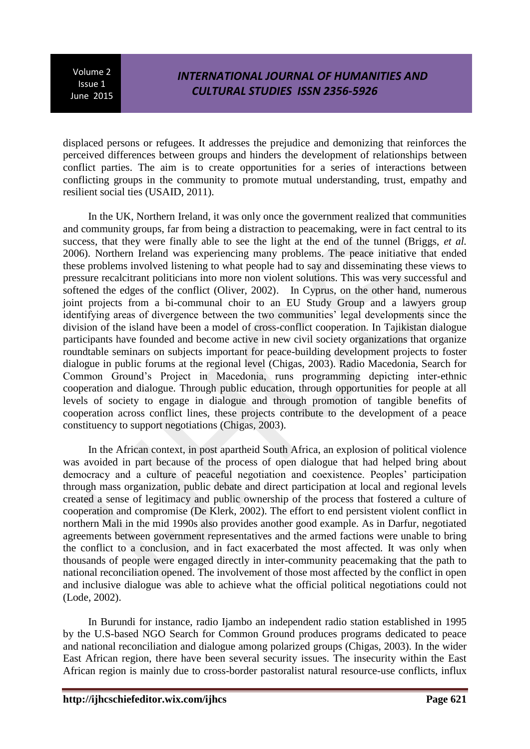## *INTERNATIONAL JOURNAL OF HUMANITIES AND CULTURAL STUDIES ISSN 2356-5926*

displaced persons or refugees. It addresses the prejudice and demonizing that reinforces the perceived differences between groups and hinders the development of relationships between conflict parties. The aim is to create opportunities for a series of interactions between conflicting groups in the community to promote mutual understanding, trust, empathy and resilient social ties (USAID, 2011).

In the UK, Northern Ireland, it was only once the government realized that communities and community groups, far from being a distraction to peacemaking, were in fact central to its success, that they were finally able to see the light at the end of the tunnel (Briggs, *et al.* 2006). Northern Ireland was experiencing many problems. The peace initiative that ended these problems involved listening to what people had to say and disseminating these views to pressure recalcitrant politicians into more non violent solutions. This was very successful and softened the edges of the conflict (Oliver, 2002). In Cyprus, on the other hand, numerous joint projects from a bi-communal choir to an EU Study Group and a lawyers group identifying areas of divergence between the two communities' legal developments since the division of the island have been a model of cross-conflict cooperation. In Tajikistan dialogue participants have founded and become active in new civil society organizations that organize roundtable seminars on subjects important for peace-building development projects to foster dialogue in public forums at the regional level (Chigas, 2003). Radio Macedonia, Search for Common Ground's Project in Macedonia, runs programming depicting inter-ethnic cooperation and dialogue. Through public education, through opportunities for people at all levels of society to engage in dialogue and through promotion of tangible benefits of cooperation across conflict lines, these projects contribute to the development of a peace constituency to support negotiations (Chigas, 2003).

In the African context, in post apartheid South Africa, an explosion of political violence was avoided in part because of the process of open dialogue that had helped bring about democracy and a culture of peaceful negotiation and coexistence. Peoples' participation through mass organization, public debate and direct participation at local and regional levels created a sense of legitimacy and public ownership of the process that fostered a culture of cooperation and compromise (De Klerk, 2002). The effort to end persistent violent conflict in northern Mali in the mid 1990s also provides another good example. As in Darfur, negotiated agreements between government representatives and the armed factions were unable to bring the conflict to a conclusion, and in fact exacerbated the most affected. It was only when thousands of people were engaged directly in inter-community peacemaking that the path to national reconciliation opened. The involvement of those most affected by the conflict in open and inclusive dialogue was able to achieve what the official political negotiations could not (Lode, 2002).

In Burundi for instance, radio Ijambo an independent radio station established in 1995 by the U.S-based NGO Search for Common Ground produces programs dedicated to peace and national reconciliation and dialogue among polarized groups (Chigas, 2003). In the wider East African region, there have been several security issues. The insecurity within the East African region is mainly due to cross-border pastoralist natural resource-use conflicts, influx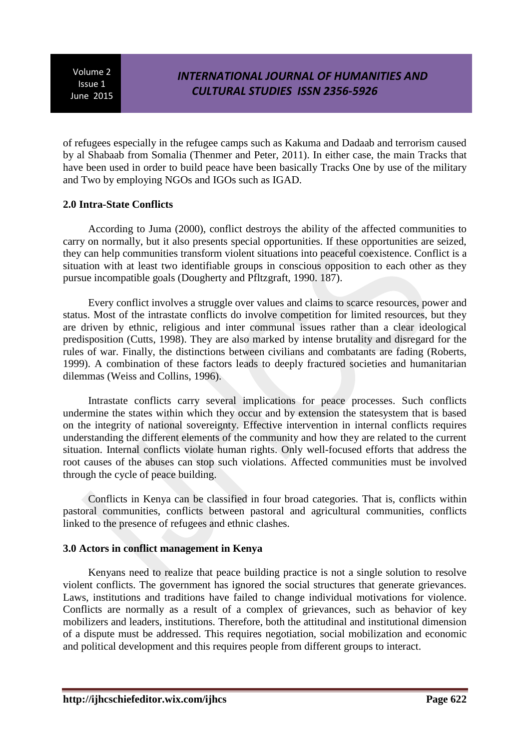of refugees especially in the refugee camps such as Kakuma and Dadaab and terrorism caused by al Shabaab from Somalia (Thenmer and Peter, 2011). In either case, the main Tracks that have been used in order to build peace have been basically Tracks One by use of the military and Two by employing NGOs and IGOs such as IGAD.

### **2.0 Intra-State Conflicts**

According to Juma (2000), conflict destroys the ability of the affected communities to carry on normally, but it also presents special opportunities. If these opportunities are seized, they can help communities transform violent situations into peaceful coexistence. Conflict is a situation with at least two identifiable groups in conscious opposition to each other as they pursue incompatible goals (Dougherty and Pfltzgraft, 1990. 187).

Every conflict involves a struggle over values and claims to scarce resources, power and status. Most of the intrastate conflicts do involve competition for limited resources, but they are driven by ethnic, religious and inter communal issues rather than a clear ideological predisposition (Cutts, 1998). They are also marked by intense brutality and disregard for the rules of war. Finally, the distinctions between civilians and combatants are fading (Roberts, 1999). A combination of these factors leads to deeply fractured societies and humanitarian dilemmas (Weiss and Collins, 1996).

Intrastate conflicts carry several implications for peace processes. Such conflicts undermine the states within which they occur and by extension the statesystem that is based on the integrity of national sovereignty. Effective intervention in internal conflicts requires understanding the different elements of the community and how they are related to the current situation. Internal conflicts violate human rights. Only well-focused efforts that address the root causes of the abuses can stop such violations. Affected communities must be involved through the cycle of peace building.

Conflicts in Kenya can be classified in four broad categories. That is, conflicts within pastoral communities, conflicts between pastoral and agricultural communities, conflicts linked to the presence of refugees and ethnic clashes.

## **3.0 Actors in conflict management in Kenya**

Kenyans need to realize that peace building practice is not a single solution to resolve violent conflicts. The government has ignored the social structures that generate grievances. Laws, institutions and traditions have failed to change individual motivations for violence. Conflicts are normally as a result of a complex of grievances, such as behavior of key mobilizers and leaders, institutions. Therefore, both the attitudinal and institutional dimension of a dispute must be addressed. This requires negotiation, social mobilization and economic and political development and this requires people from different groups to interact.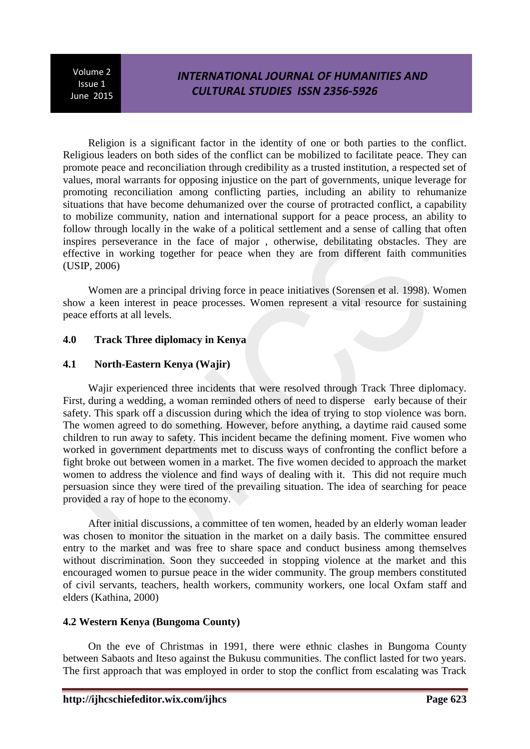# *INTERNATIONAL JOURNAL OF HUMANITIES AND CULTURAL STUDIES ISSN 2356-5926*

Religion is a significant factor in the identity of one or both parties to the conflict. Religious leaders on both sides of the conflict can be mobilized to facilitate peace. They can promote peace and reconciliation through credibility as a trusted institution, a respected set of values, moral warrants for opposing injustice on the part of governments, unique leverage for promoting reconciliation among conflicting parties, including an ability to rehumanize situations that have become dehumanized over the course of protracted conflict, a capability to mobilize community, nation and international support for a peace process, an ability to follow through locally in the wake of a political settlement and a sense of calling that often inspires perseverance in the face of major , otherwise, debilitating obstacles. They are effective in working together for peace when they are from different faith communities (USIP, 2006)

Women are a principal driving force in peace initiatives (Sorensen et al. 1998). Women show a keen interest in peace processes. Women represent a vital resource for sustaining peace efforts at all levels.

### **4.0 Track Three diplomacy in Kenya**

### **4.1 North-Eastern Kenya (Wajir)**

Wajir experienced three incidents that were resolved through Track Three diplomacy. First, during a wedding, a woman reminded others of need to disperse early because of their safety. This spark off a discussion during which the idea of trying to stop violence was born. The women agreed to do something. However, before anything, a daytime raid caused some children to run away to safety. This incident became the defining moment. Five women who worked in government departments met to discuss ways of confronting the conflict before a fight broke out between women in a market. The five women decided to approach the market women to address the violence and find ways of dealing with it. This did not require much persuasion since they were tired of the prevailing situation. The idea of searching for peace provided a ray of hope to the economy.

After initial discussions, a committee of ten women, headed by an elderly woman leader was chosen to monitor the situation in the market on a daily basis. The committee ensured entry to the market and was free to share space and conduct business among themselves without discrimination. Soon they succeeded in stopping violence at the market and this encouraged women to pursue peace in the wider community. The group members constituted of civil servants, teachers, health workers, community workers, one local Oxfam staff and elders (Kathina, 2000)

### **4.2 Western Kenya (Bungoma County)**

On the eve of Christmas in 1991, there were ethnic clashes in Bungoma County between Sabaots and Iteso against the Bukusu communities. The conflict lasted for two years. The first approach that was employed in order to stop the conflict from escalating was Track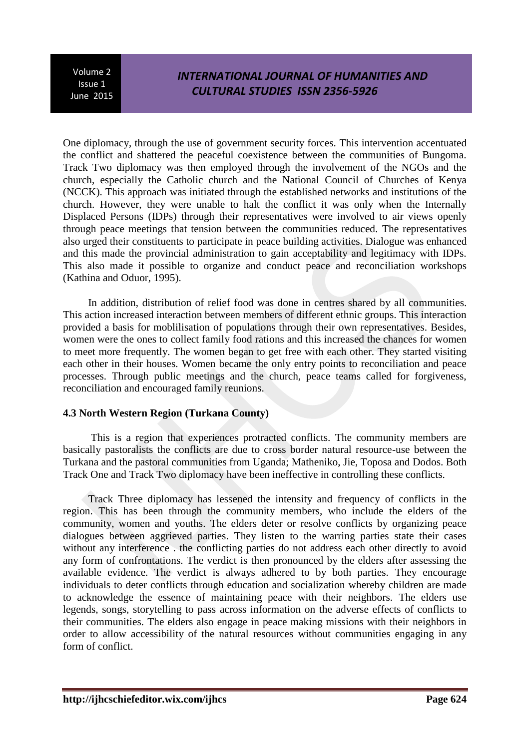# *INTERNATIONAL JOURNAL OF HUMANITIES AND CULTURAL STUDIES ISSN 2356-5926*

One diplomacy, through the use of government security forces. This intervention accentuated the conflict and shattered the peaceful coexistence between the communities of Bungoma. Track Two diplomacy was then employed through the involvement of the NGOs and the church, especially the Catholic church and the National Council of Churches of Kenya (NCCK). This approach was initiated through the established networks and institutions of the church. However, they were unable to halt the conflict it was only when the Internally Displaced Persons (IDPs) through their representatives were involved to air views openly through peace meetings that tension between the communities reduced. The representatives also urged their constituents to participate in peace building activities. Dialogue was enhanced and this made the provincial administration to gain acceptability and legitimacy with IDPs. This also made it possible to organize and conduct peace and reconciliation workshops (Kathina and Oduor, 1995).

In addition, distribution of relief food was done in centres shared by all communities. This action increased interaction between members of different ethnic groups. This interaction provided a basis for moblilisation of populations through their own representatives. Besides, women were the ones to collect family food rations and this increased the chances for women to meet more frequently. The women began to get free with each other. They started visiting each other in their houses. Women became the only entry points to reconciliation and peace processes. Through public meetings and the church, peace teams called for forgiveness, reconciliation and encouraged family reunions.

### **4.3 North Western Region (Turkana County)**

This is a region that experiences protracted conflicts. The community members are basically pastoralists the conflicts are due to cross border natural resource-use between the Turkana and the pastoral communities from Uganda; Matheniko, Jie, Toposa and Dodos. Both Track One and Track Two diplomacy have been ineffective in controlling these conflicts.

Track Three diplomacy has lessened the intensity and frequency of conflicts in the region. This has been through the community members, who include the elders of the community, women and youths. The elders deter or resolve conflicts by organizing peace dialogues between aggrieved parties. They listen to the warring parties state their cases without any interference . the conflicting parties do not address each other directly to avoid any form of confrontations. The verdict is then pronounced by the elders after assessing the available evidence. The verdict is always adhered to by both parties. They encourage individuals to deter conflicts through education and socialization whereby children are made to acknowledge the essence of maintaining peace with their neighbors. The elders use legends, songs, storytelling to pass across information on the adverse effects of conflicts to their communities. The elders also engage in peace making missions with their neighbors in order to allow accessibility of the natural resources without communities engaging in any form of conflict.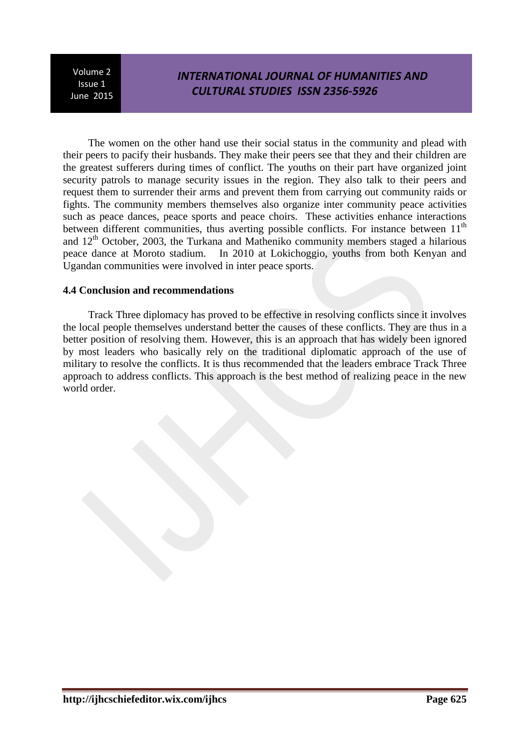# *INTERNATIONAL JOURNAL OF HUMANITIES AND CULTURAL STUDIES ISSN 2356-5926*

The women on the other hand use their social status in the community and plead with their peers to pacify their husbands. They make their peers see that they and their children are the greatest sufferers during times of conflict. The youths on their part have organized joint security patrols to manage security issues in the region. They also talk to their peers and request them to surrender their arms and prevent them from carrying out community raids or fights. The community members themselves also organize inter community peace activities such as peace dances, peace sports and peace choirs. These activities enhance interactions between different communities, thus averting possible conflicts. For instance between  $11<sup>th</sup>$ and  $12<sup>th</sup>$  October, 2003, the Turkana and Matheniko community members staged a hilarious peace dance at Moroto stadium. In 2010 at Lokichoggio, youths from both Kenyan and Ugandan communities were involved in inter peace sports.

#### **4.4 Conclusion and recommendations**

Track Three diplomacy has proved to be effective in resolving conflicts since it involves the local people themselves understand better the causes of these conflicts. They are thus in a better position of resolving them. However, this is an approach that has widely been ignored by most leaders who basically rely on the traditional diplomatic approach of the use of military to resolve the conflicts. It is thus recommended that the leaders embrace Track Three approach to address conflicts. This approach is the best method of realizing peace in the new world order.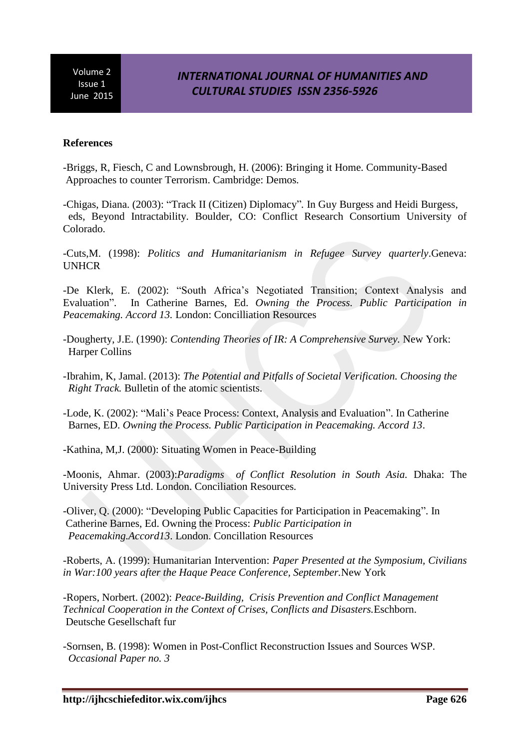### **References**

-Briggs, R, Fiesch, C and Lownsbrough, H. (2006): Bringing it Home. Community-Based Approaches to counter Terrorism. Cambridge: Demos*.* 

-Chigas, Diana. (2003): "Track II (Citizen) Diplomacy"*.* In Guy Burgess and Heidi Burgess, eds, Beyond Intractability. Boulder, CO: Conflict Research Consortium University of Colorado.

-Cuts,M. (1998): *Politics and Humanitarianism in Refugee Survey quarterly*.Geneva: UNHCR

-De Klerk, E. (2002): "South Africa's Negotiated Transition; Context Analysis and Evaluation". In Catherine Barnes, Ed. *Owning the Process. Public Participation in Peacemaking. Accord 13.* London: Concilliation Resources

- -Dougherty, J.E. (1990): *Contending Theories of IR: A Comprehensive Survey.* New York: Harper Collins
- -Ibrahim, K, Jamal. (2013): *The Potential and Pitfalls of Societal Verification. Choosing the Right Track.* Bulletin of the atomic scientists.

-Lode, K. (2002): "Mali's Peace Process: Context, Analysis and Evaluation". In Catherine Barnes, ED. *Owning the Process. Public Participation in Peacemaking. Accord 13*.

-Kathina, M,J. (2000): Situating Women in Peace-Building

-Moonis, Ahmar. (2003):*Paradigms of Conflict Resolution in South Asia.* Dhaka: The University Press Ltd. London. Conciliation Resources*.*

-Oliver, Q. (2000): "Developing Public Capacities for Participation in Peacemaking". In Catherine Barnes, Ed. Owning the Process: *Public Participation in Peacemaking.Accord13*. London. Concillation Resources

-Roberts, A. (1999): Humanitarian Intervention: *Paper Presented at the Symposium, Civilians in War:100 years after the Haque Peace Conference, September.*New York

-Ropers, Norbert. (2002): *Peace-Building, Crisis Prevention and Conflict Management Technical Cooperation in the Context of Crises, Conflicts and Disasters.*Eschborn. Deutsche Gesellschaft fur

-Sornsen, B. (1998): Women in Post-Conflict Reconstruction Issues and Sources WSP. *Occasional Paper no. 3*